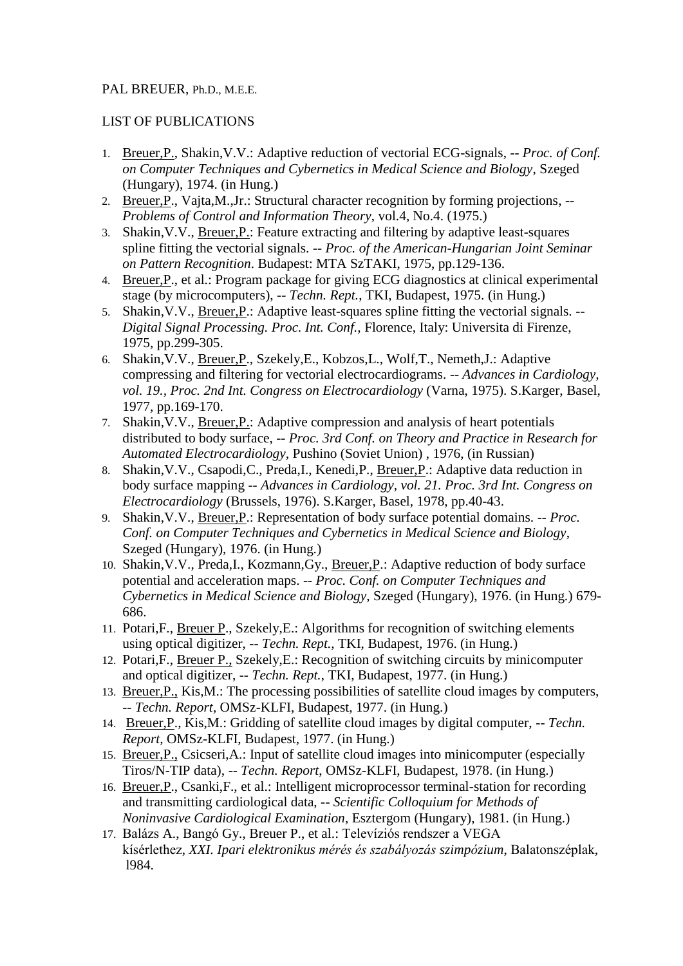## PAL BREUER, Ph.D., M.E.E.

## LIST OF PUBLICATIONS

- 1. Breuer,P., Shakin,V.V.: Adaptive reduction of vectorial ECG-signals, -- *Proc. of Conf. on Computer Techniques and Cybernetics in Medical Science and Biology*, Szeged (Hungary), 1974. (in Hung.)
- 2. Breuer,P., Vajta,M.,Jr.: Structural character recognition by forming projections, -- *Problems of Control and Information Theory*, vol.4, No.4. (1975.)
- 3. Shakin,V.V., Breuer,P.: Feature extracting and filtering by adaptive least-squares spline fitting the vectorial signals. -- *Proc. of the American-Hungarian Joint Seminar on Pattern Recognition*. Budapest: MTA SzTAKI, 1975, pp.129-136.
- 4. Breuer,P., et al.: Program package for giving ECG diagnostics at clinical experimental stage (by microcomputers), -- *Techn. Rept.*, TKI, Budapest, 1975. (in Hung.)
- 5. Shakin,V.V., Breuer,P.: Adaptive least-squares spline fitting the vectorial signals. -- *Digital Signal Processing. Proc. Int. Conf.,* Florence, Italy: Universita di Firenze, 1975, pp.299-305.
- 6. Shakin,V.V., Breuer,P., Szekely,E., Kobzos,L., Wolf,T., Nemeth,J.: Adaptive compressing and filtering for vectorial electrocardiograms. -- *Advances in Cardiology, vol. 19., Proc. 2nd Int. Congress on Electrocardiology* (Varna, 1975). S.Karger, Basel, 1977, pp.169-170.
- 7. Shakin,V.V., Breuer,P.: Adaptive compression and analysis of heart potentials distributed to body surface, -- *Proc. 3rd Conf. on Theory and Practice in Research for Automated Electrocardiology,* Pushino (Soviet Union) , 1976, (in Russian)
- 8. Shakin,V.V., Csapodi,C., Preda,I., Kenedi,P., Breuer,P.: Adaptive data reduction in body surface mapping -- *Advances in Cardiology, vol. 21. Proc. 3rd Int. Congress on Electrocardiology* (Brussels, 1976). S.Karger, Basel, 1978, pp.40-43.
- 9. Shakin,V.V., Breuer,P.: Representation of body surface potential domains. -- *Proc. Conf. on Computer Techniques and Cybernetics in Medical Science and Biology*, Szeged (Hungary), 1976. (in Hung.)
- 10. Shakin,V.V., Preda,I., Kozmann,Gy., Breuer,P.: Adaptive reduction of body surface potential and acceleration maps. -- *Proc. Conf. on Computer Techniques and Cybernetics in Medical Science and Biology*, Szeged (Hungary), 1976. (in Hung.) 679- 686.
- 11. Potari,F., Breuer P., Szekely,E.: Algorithms for recognition of switching elements using optical digitizer, -- *Techn. Rept.*, TKI, Budapest, 1976. (in Hung.)
- 12. Potari,F., Breuer P., Szekely,E.: Recognition of switching circuits by minicomputer and optical digitizer, -- *Techn. Rept.*, TKI, Budapest, 1977. (in Hung.)
- 13. Breuer,P., Kis,M.: The processing possibilities of satellite cloud images by computers, -- *Techn. Report*, OMSz-KLFI, Budapest, 1977. (in Hung.)
- 14. Breuer,P., Kis,M.: Gridding of satellite cloud images by digital computer, -- *Techn. Report,* OMSz-KLFI, Budapest, 1977. (in Hung.)
- 15. Breuer,P., Csicseri,A.: Input of satellite cloud images into minicomputer (especially Tiros/N-TIP data), -- *Techn. Report*, OMSz-KLFI, Budapest, 1978. (in Hung.)
- 16. Breuer,P., Csanki,F., et al.: Intelligent microprocessor terminal-station for recording and transmitting cardiological data, -- *Scientific Colloquium for Methods of Noninvasive Cardiological Examination*, Esztergom (Hungary), 1981. (in Hung.)
- 17. Balázs A., Bangó Gy., Breuer P., et al.: Televíziós rendszer a VEGA kísérlethez, *XXI. Ipari elektronikus mérés és szabályozás szimpózium*, Balatonszéplak, l984.